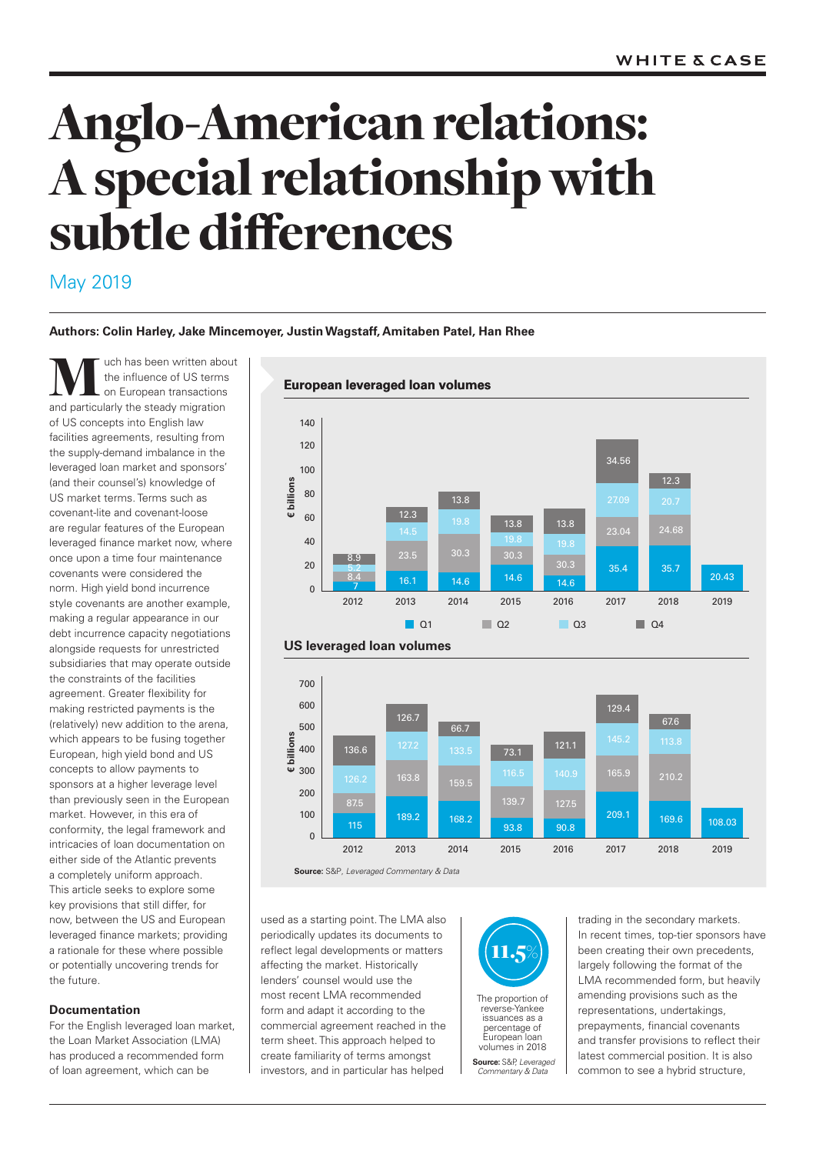# Anglo-American relations: Aspecial relationship with subtle differences

# May 2019

# **Authors: Colin Harley, Jake Mincemoyer, Justin Wagstaff, Amitaben Patel, Han Rhee**

**MUC** the influence of US terms<br>
and particularly the steady migration the influence of US terms on European transactions of US concepts into English law facilities agreements, resulting from the supply-demand imbalance in the leveraged loan market and sponsors' (and their counsel's) knowledge of US market terms. Terms such as covenant-lite and covenant-loose are regular features of the European leveraged finance market now, where once upon a time four maintenance covenants were considered the norm. High yield bond incurrence style covenants are another example, making a regular appearance in our debt incurrence capacity negotiations alongside requests for unrestricted subsidiaries that may operate outside the constraints of the facilities agreement. Greater flexibility for making restricted payments is the (relatively) new addition to the arena, which appears to be fusing together European, high yield bond and US concepts to allow payments to sponsors at a higher leverage level than previously seen in the European market. However, in this era of conformity, the legal framework and intricacies of loan documentation on either side of the Atlantic prevents a completely uniform approach. This article seeks to explore some key provisions that still differ, for now, between the US and European leveraged finance markets; providing a rationale for these where possible or potentially uncovering trends for the future.

## **Documentation**

For the English leveraged loan market, the Loan Market Association (LMA) has produced a recommended form of loan agreement, which can be





used as a starting point. The LMA also periodically updates its documents to reflect legal developments or matters affecting the market. Historically lenders' counsel would use the most recent LMA recommended form and adapt it according to the commercial agreement reached in the term sheet. This approach helped to create familiarity of terms amongst investors, and in particular has helped



The proportion of reverse-Yankee issuances as a percentage of European loan volumes in 2018

**Source:** S&P, *Leveraged Commentary & Data* 

trading in the secondary markets. In recent times, top-tier sponsors have been creating their own precedents, largely following the format of the LMA recommended form, but heavily amending provisions such as the representations, undertakings, prepayments, financial covenants and transfer provisions to reflect their latest commercial position. It is also common to see a hybrid structure,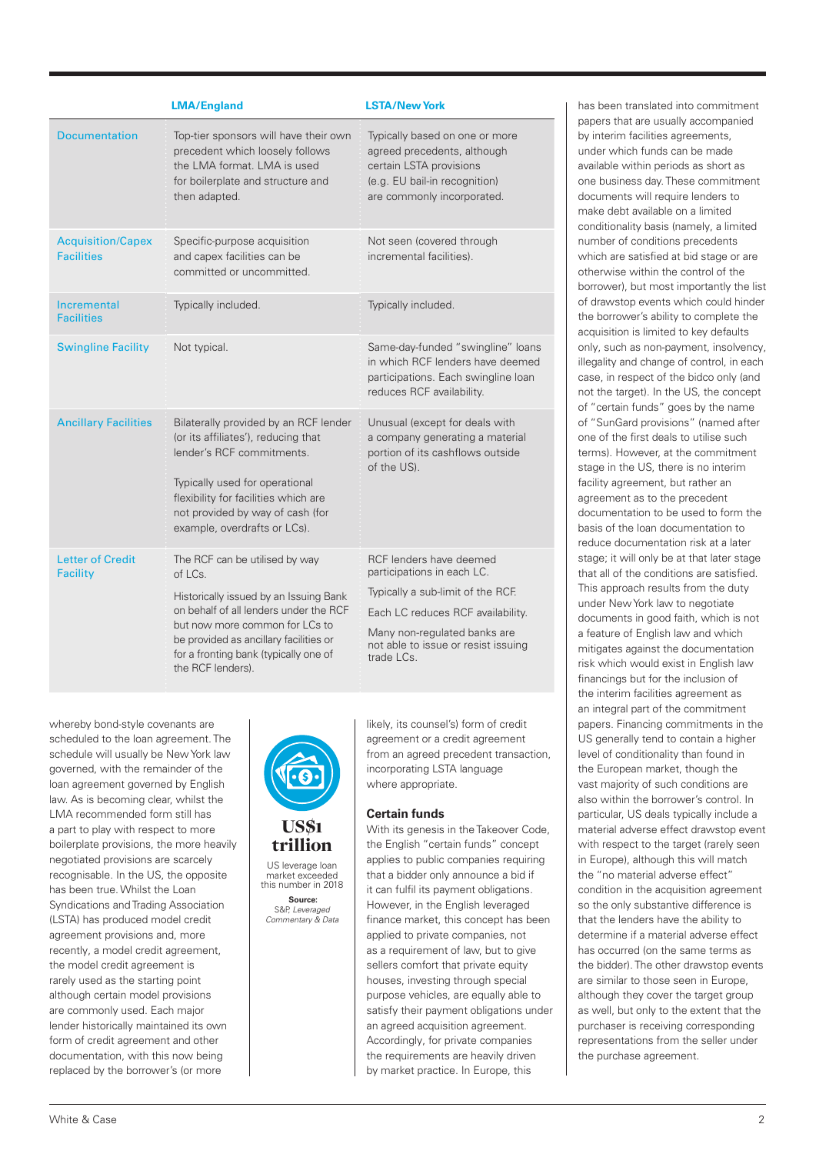|                                               | <b>LMA/England</b>                                                                                                                                                                                                                                                      | <b>LSTA/New York</b>                                                                                                                                                                                                    |
|-----------------------------------------------|-------------------------------------------------------------------------------------------------------------------------------------------------------------------------------------------------------------------------------------------------------------------------|-------------------------------------------------------------------------------------------------------------------------------------------------------------------------------------------------------------------------|
| <b>Documentation</b>                          | Top-tier sponsors will have their own<br>precedent which loosely follows<br>the LMA format. LMA is used<br>for boilerplate and structure and<br>then adapted.                                                                                                           | Typically based on one or more<br>agreed precedents, although<br>certain LSTA provisions<br>(e.g. EU bail-in recognition)<br>are commonly incorporated.                                                                 |
| <b>Acquisition/Capex</b><br><b>Facilities</b> | Specific-purpose acquisition<br>and capex facilities can be<br>committed or uncommitted.                                                                                                                                                                                | Not seen (covered through<br>incremental facilities).                                                                                                                                                                   |
| Incremental<br><b>Facilities</b>              | Typically included.                                                                                                                                                                                                                                                     | Typically included.                                                                                                                                                                                                     |
| <b>Swingline Facility</b>                     | Not typical.                                                                                                                                                                                                                                                            | Same-day-funded "swingline" loans<br>in which RCF lenders have deemed<br>participations. Each swingline loan<br>reduces RCF availability.                                                                               |
| <b>Ancillary Facilities</b>                   | Bilaterally provided by an RCF lender<br>(or its affiliates'), reducing that<br>lender's RCF commitments.<br>Typically used for operational<br>flexibility for facilities which are<br>not provided by way of cash (for<br>example, overdrafts or LCs).                 | Unusual (except for deals with<br>a company generating a material<br>portion of its cashflows outside<br>of the US).                                                                                                    |
| <b>Letter of Credit</b><br><b>Facility</b>    | The RCF can be utilised by way<br>of LCs.<br>Historically issued by an Issuing Bank<br>on behalf of all lenders under the RCF<br>but now more common for LCs to<br>be provided as ancillary facilities or<br>for a fronting bank (typically one of<br>the RCF lenders). | RCF lenders have deemed<br>participations in each LC.<br>Typically a sub-limit of the RCF.<br>Each LC reduces RCF availability.<br>Many non-regulated banks are<br>not able to issue or resist issuing<br>trade $LCs$ . |

whereby bond-style covenants are scheduled to the loan agreement. The schedule will usually be New York law governed, with the remainder of the loan agreement governed by English law. As is becoming clear, whilst the LMA recommended form still has a part to play with respect to more boilerplate provisions, the more heavily negotiated provisions are scarcely recognisable. In the US, the opposite has been true. Whilst the Loan Syndications and Trading Association (LSTA) has produced model credit agreement provisions and, more recently, a model credit agreement, the model credit agreement is rarely used as the starting point although certain model provisions are commonly used. Each major lender historically maintained its own form of credit agreement and other documentation, with this now being replaced by the borrower's (or more



# US\$1 trillion

US leverage loan market exceeded this number in 2018

**Source:** S&P, *Leveraged Commentary & Data*  likely, its counsel's) form of credit agreement or a credit agreement from an agreed precedent transaction, incorporating LSTA language where appropriate.

# **Certain funds**

With its genesis in the Takeover Code, the English "certain funds" concept applies to public companies requiring that a bidder only announce a bid if it can fulfil its payment obligations. However, in the English leveraged finance market, this concept has been applied to private companies, not as a requirement of law, but to give sellers comfort that private equity houses, investing through special purpose vehicles, are equally able to satisfy their payment obligations under an agreed acquisition agreement. Accordingly, for private companies the requirements are heavily driven by market practice. In Europe, this

has been translated into commitment papers that are usually accompanied by interim facilities agreements, under which funds can be made available within periods as short as one business day. These commitment documents will require lenders to make debt available on a limited conditionality basis (namely, a limited number of conditions precedents which are satisfied at bid stage or are otherwise within the control of the borrower), but most importantly the list of drawstop events which could hinder the borrower's ability to complete the acquisition is limited to key defaults only, such as non-payment, insolvency, illegality and change of control, in each case, in respect of the bidco only (and not the target). In the US, the concept of "certain funds" goes by the name of "SunGard provisions" (named after one of the first deals to utilise such terms). However, at the commitment stage in the US, there is no interim facility agreement, but rather an agreement as to the precedent documentation to be used to form the basis of the loan documentation to reduce documentation risk at a later stage; it will only be at that later stage that all of the conditions are satisfied. This approach results from the duty under New York law to negotiate documents in good faith, which is not a feature of English law and which mitigates against the documentation risk which would exist in English law financings but for the inclusion of the interim facilities agreement as an integral part of the commitment papers. Financing commitments in the US generally tend to contain a higher level of conditionality than found in the European market, though the vast majority of such conditions are also within the borrower's control. In particular, US deals typically include a material adverse effect drawstop event with respect to the target (rarely seen in Europe), although this will match the "no material adverse effect" condition in the acquisition agreement so the only substantive difference is that the lenders have the ability to determine if a material adverse effect has occurred (on the same terms as the bidder). The other drawstop events are similar to those seen in Europe, although they cover the target group as well, but only to the extent that the purchaser is receiving corresponding representations from the seller under the purchase agreement.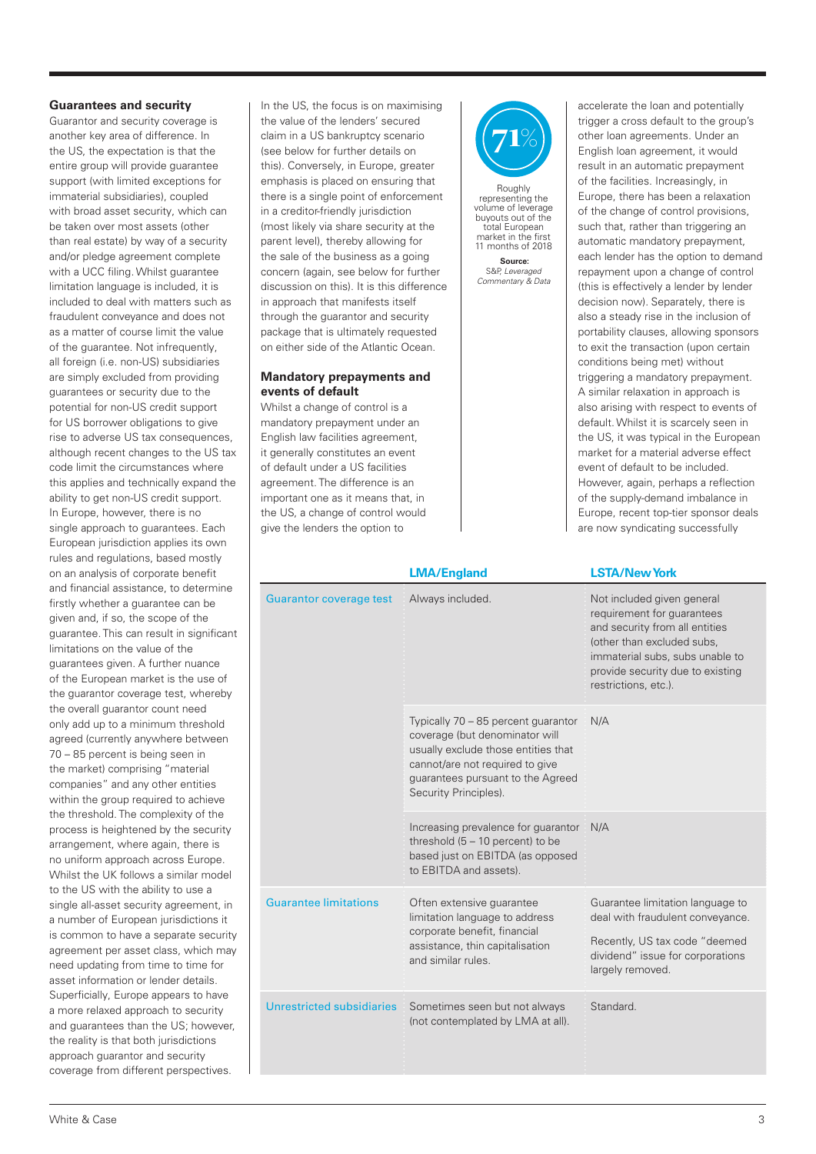#### **Guarantees and security**

Guarantor and security coverage is another key area of difference. In the US, the expectation is that the entire group will provide guarantee support (with limited exceptions for immaterial subsidiaries), coupled with broad asset security, which can be taken over most assets (other than real estate) by way of a security and/or pledge agreement complete with a UCC filing. Whilst guarantee limitation language is included, it is included to deal with matters such as fraudulent conveyance and does not as a matter of course limit the value of the guarantee. Not infrequently, all foreign (i.e. non-US) subsidiaries are simply excluded from providing guarantees or security due to the potential for non-US credit support for US borrower obligations to give rise to adverse US tax consequences, although recent changes to the US tax code limit the circumstances where this applies and technically expand the ability to get non-US credit support. In Europe, however, there is no single approach to guarantees. Each European jurisdiction applies its own rules and regulations, based mostly on an analysis of corporate benefit and financial assistance, to determine firstly whether a guarantee can be given and, if so, the scope of the guarantee. This can result in significant limitations on the value of the guarantees given. A further nuance of the European market is the use of the guarantor coverage test, whereby the overall guarantor count need only add up to a minimum threshold agreed (currently anywhere between 70 – 85 percent is being seen in the market) comprising "material companies" and any other entities within the group required to achieve the threshold. The complexity of the process is heightened by the security arrangement, where again, there is no uniform approach across Europe. Whilst the UK follows a similar model to the US with the ability to use a single all-asset security agreement, in a number of European jurisdictions it is common to have a separate security agreement per asset class, which may need updating from time to time for asset information or lender details. Superficially, Europe appears to have a more relaxed approach to security and guarantees than the US; however, the reality is that both jurisdictions approach guarantor and security coverage from different perspectives.

In the US, the focus is on maximising the value of the lenders' secured claim in a US bankruptcy scenario (see below for further details on this). Conversely, in Europe, greater emphasis is placed on ensuring that there is a single point of enforcement in a creditor-friendly jurisdiction (most likely via share security at the parent level), thereby allowing for the sale of the business as a going concern (again, see below for further discussion on this). It is this difference in approach that manifests itself through the guarantor and security package that is ultimately requested on either side of the Atlantic Ocean.

#### **Mandatory prepayments and events of default**

Whilst a change of control is a mandatory prepayment under an English law facilities agreement, it generally constitutes an event of default under a US facilities agreement. The difference is an important one as it means that, in the US, a change of control would give the lenders the option to



Roughly representing the volume of leverage buyouts out of the total European market in the first 11 months of 2018 **Source:**

S&P, *Leveraged Commentary & Data* 

accelerate the loan and potentially trigger a cross default to the group's other loan agreements. Under an English loan agreement, it would result in an automatic prepayment of the facilities. Increasingly, in Europe, there has been a relaxation of the change of control provisions, such that, rather than triggering an automatic mandatory prepayment, each lender has the option to demand repayment upon a change of control (this is effectively a lender by lender decision now). Separately, there is also a steady rise in the inclusion of portability clauses, allowing sponsors to exit the transaction (upon certain conditions being met) without triggering a mandatory prepayment. A similar relaxation in approach is also arising with respect to events of default. Whilst it is scarcely seen in the US, it was typical in the European market for a material adverse effect event of default to be included. However, again, perhaps a reflection of the supply-demand imbalance in Europe, recent top-tier sponsor deals are now syndicating successfully

|                                  | <b>LMA/England</b>                                                                                                                                                                                            | <b>LSTA/New York</b>                                                                                                                                                                                                    |
|----------------------------------|---------------------------------------------------------------------------------------------------------------------------------------------------------------------------------------------------------------|-------------------------------------------------------------------------------------------------------------------------------------------------------------------------------------------------------------------------|
| <b>Guarantor coverage test</b>   | Always included.                                                                                                                                                                                              | Not included given general<br>requirement for guarantees<br>and security from all entities<br>(other than excluded subs,<br>immaterial subs, subs unable to<br>provide security due to existing<br>restrictions, etc.). |
|                                  | Typically 70 - 85 percent guarantor<br>coverage (but denominator will<br>usually exclude those entities that<br>cannot/are not required to give<br>guarantees pursuant to the Agreed<br>Security Principles). | N/A                                                                                                                                                                                                                     |
|                                  | Increasing prevalence for guarantor<br>threshold $(5 - 10$ percent) to be<br>based just on EBITDA (as opposed<br>to EBITDA and assets).                                                                       | N/A                                                                                                                                                                                                                     |
| <b>Guarantee limitations</b>     | Often extensive guarantee<br>limitation language to address<br>corporate benefit, financial<br>assistance, thin capitalisation<br>and similar rules.                                                          | Guarantee limitation language to<br>deal with fraudulent conveyance.<br>Recently, US tax code "deemed<br>dividend" issue for corporations<br>largely removed.                                                           |
| <b>Unrestricted subsidiaries</b> | Sometimes seen but not always<br>(not contemplated by LMA at all).                                                                                                                                            | Standard.                                                                                                                                                                                                               |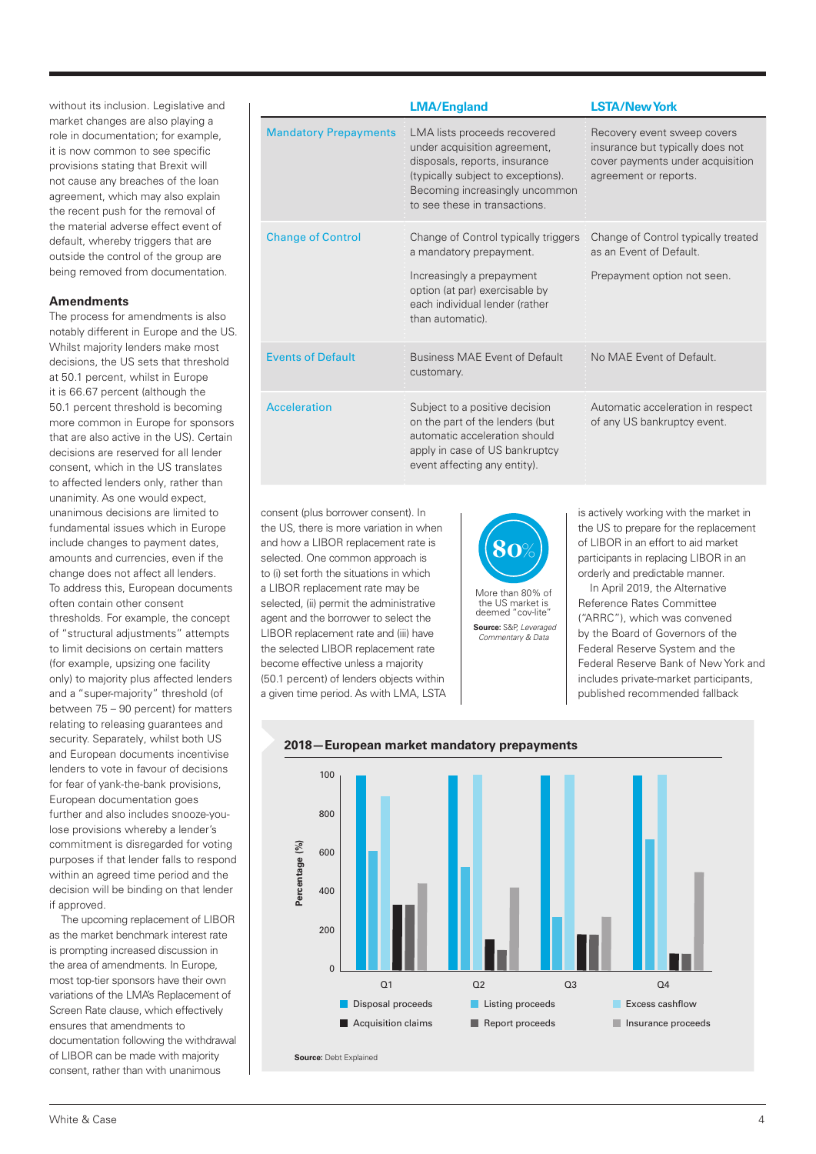without its inclusion. Legislative and market changes are also playing a role in documentation; for example, it is now common to see specific provisions stating that Brexit will not cause any breaches of the loan agreement, which may also explain the recent push for the removal of the material adverse effect event of default, whereby triggers that are outside the control of the group are being removed from documentation.

#### **Amendments**

The process for amendments is also notably different in Europe and the US. Whilst majority lenders make most decisions, the US sets that threshold at 50.1 percent, whilst in Europe it is 66.67 percent (although the 50.1 percent threshold is becoming more common in Europe for sponsors that are also active in the US). Certain decisions are reserved for all lender consent, which in the US translates to affected lenders only, rather than unanimity. As one would expect, unanimous decisions are limited to fundamental issues which in Europe include changes to payment dates, amounts and currencies, even if the change does not affect all lenders. To address this, European documents often contain other consent thresholds. For example, the concept of "structural adjustments" attempts to limit decisions on certain matters (for example, upsizing one facility only) to majority plus affected lenders and a "super-majority" threshold (of between 75 – 90 percent) for matters relating to releasing guarantees and security. Separately, whilst both US and European documents incentivise lenders to vote in favour of decisions for fear of yank-the-bank provisions, European documentation goes further and also includes snooze-youlose provisions whereby a lender's commitment is disregarded for voting purposes if that lender falls to respond within an agreed time period and the decision will be binding on that lender if approved.

The upcoming replacement of LIBOR as the market benchmark interest rate is prompting increased discussion in the area of amendments. In Europe, most top-tier sponsors have their own variations of the LMA's Replacement of Screen Rate clause, which effectively ensures that amendments to documentation following the withdrawal of LIBOR can be made with majority consent, rather than with unanimous

|                              | <b>LMA/England</b>                                                                                                                                                                                     | <b>LSTA/New York</b>                                                                                                         |
|------------------------------|--------------------------------------------------------------------------------------------------------------------------------------------------------------------------------------------------------|------------------------------------------------------------------------------------------------------------------------------|
| <b>Mandatory Prepayments</b> | LMA lists proceeds recovered<br>under acquisition agreement,<br>disposals, reports, insurance<br>(typically subject to exceptions).<br>Becoming increasingly uncommon<br>to see these in transactions. | Recovery event sweep covers<br>insurance but typically does not<br>cover payments under acquisition<br>agreement or reports. |
| <b>Change of Control</b>     | Change of Control typically triggers<br>a mandatory prepayment.<br>Increasingly a prepayment<br>option (at par) exercisable by<br>each individual lender (rather<br>than automatic).                   | Change of Control typically treated<br>as an Event of Default.<br>Prepayment option not seen.                                |
| <b>Events of Default</b>     | <b>Business MAF Fvent of Default</b><br>customary.                                                                                                                                                     | No MAF Fyent of Default                                                                                                      |
| <b>Acceleration</b>          | Subject to a positive decision<br>on the part of the lenders (but<br>automatic acceleration should<br>apply in case of US bankruptcy<br>event affecting any entity).                                   | Automatic acceleration in respect<br>of any US bankruptcy event.                                                             |

consent (plus borrower consent). In the US, there is more variation in when and how a LIBOR replacement rate is selected. One common approach is to (i) set forth the situations in which a LIBOR replacement rate may be selected, (ii) permit the administrative agent and the borrower to select the LIBOR replacement rate and (iii) have the selected LIBOR replacement rate become effective unless a majority (50.1 percent) of lenders objects within a given time period. As with LMA, LSTA



**Source:** S&P, *Leveraged Commentary & Data* 

is actively working with the market in the US to prepare for the replacement of LIBOR in an effort to aid market participants in replacing LIBOR in an orderly and predictable manner.

In April 2019, the Alternative Reference Rates Committee ("ARRC"), which was convened by the Board of Governors of the Federal Reserve System and the Federal Reserve Bank of New York and includes private-market participants, published recommended fallback



### **2018—European market mandatory prepayments**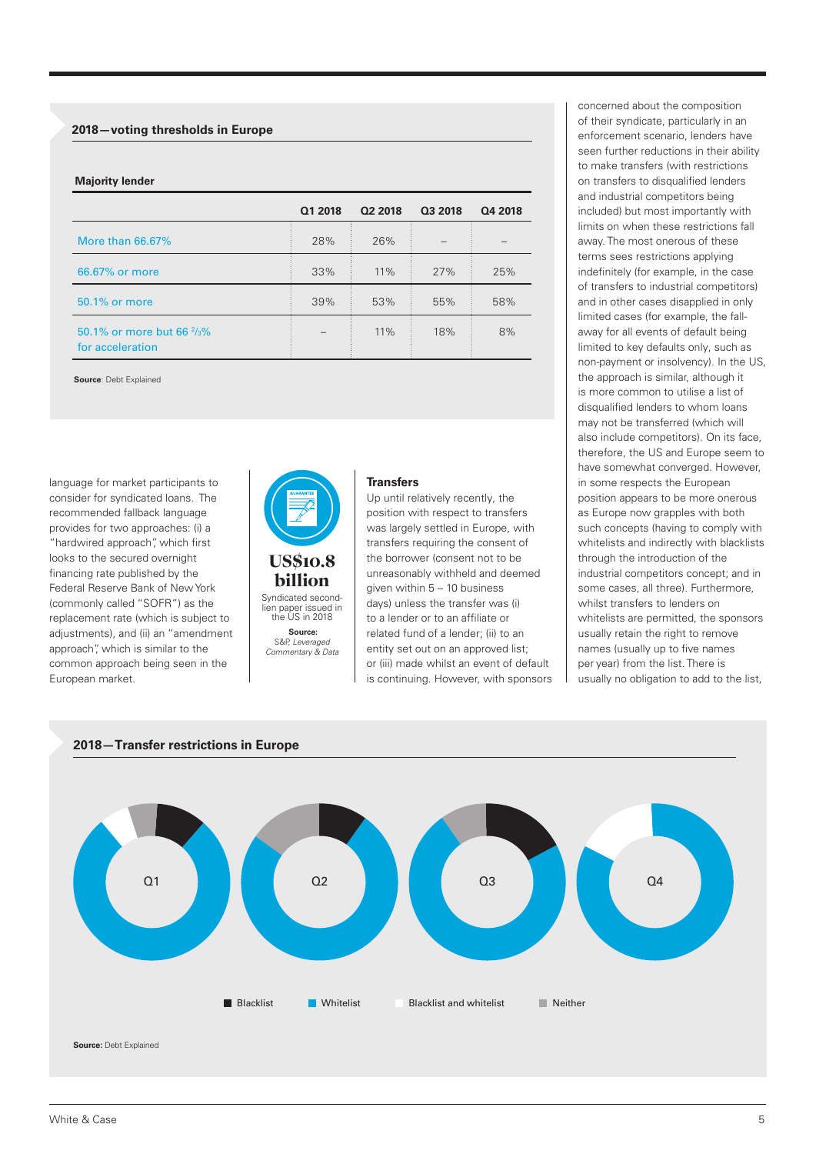#### **2018—voting thresholds in Europe**

#### **Majority lender**

|                                                                        | Q1 2018 | Q2 2018 | 03 2018 | Q4 2018 |
|------------------------------------------------------------------------|---------|---------|---------|---------|
| More than 66,67%                                                       | 28%     | 26%     |         |         |
| 66.67% or more                                                         | 33%     | 11%     | 27%     | 25%     |
| 50.1% or more                                                          | 39%     | 53%     | 55%     | 58%     |
| 50.1% or more but 66 <sup>2</sup> / <sub>3</sub> %<br>for acceleration |         | 11%     | 18%     | 8%      |

**Source**: Debt Explained

language for market participants to consider for syndicated loans. The recommended fallback language provides for two approaches: (i) a "hardwired approach", which first looks to the secured overnight financing rate published by the Federal Reserve Bank of New York (commonly called "SOFR") as the replacement rate (which is subject to adjustments), and (ii) an "amendment approach", which is similar to the common approach being seen in the European market.



Syndicated secondlien paper issued in the US in 2018 **Source:** S&P, *Leveraged Commentary & Data* 

## **Transfers**

Up until relatively recently, the position with respect to transfers was largely settled in Europe, with transfers requiring the consent of the borrower (consent not to be unreasonably withheld and deemed given within 5 – 10 business days) unless the transfer was (i) to a lender or to an affiliate or related fund of a lender; (ii) to an entity set out on an approved list; or (iii) made whilst an event of default is continuing. However, with sponsors

concerned about the composition of their syndicate, particularly in an enforcement scenario, lenders have seen further reductions in their ability to make transfers (with restrictions on transfers to disqualified lenders and industrial competitors being included) but most importantly with limits on when these restrictions fall away. The most onerous of these terms sees restrictions applying indefinitely (for example, in the case of transfers to industrial competitors) and in other cases disapplied in only limited cases (for example, the fallaway for all events of default being limited to key defaults only, such as non-payment or insolvency). In the US, the approach is similar, although it is more common to utilise a list of disqualified lenders to whom loans may not be transferred (which will also include competitors). On its face, therefore, the US and Europe seem to have somewhat converged. However, in some respects the European position appears to be more onerous as Europe now grapples with both such concepts (having to comply with whitelists and indirectly with blacklists through the introduction of the industrial competitors concept; and in some cases, all three). Furthermore, whilst transfers to lenders on whitelists are permitted, the sponsors usually retain the right to remove names (usually up to five names per year) from the list. There is usually no obligation to add to the list,



#### **2018—Transfer restrictions in Europe**

white & Case 5. The contract of the contract of the contract of the contract of the contract of the contract of the contract of the contract of the contract of the contract of the contract of the contract of the contract o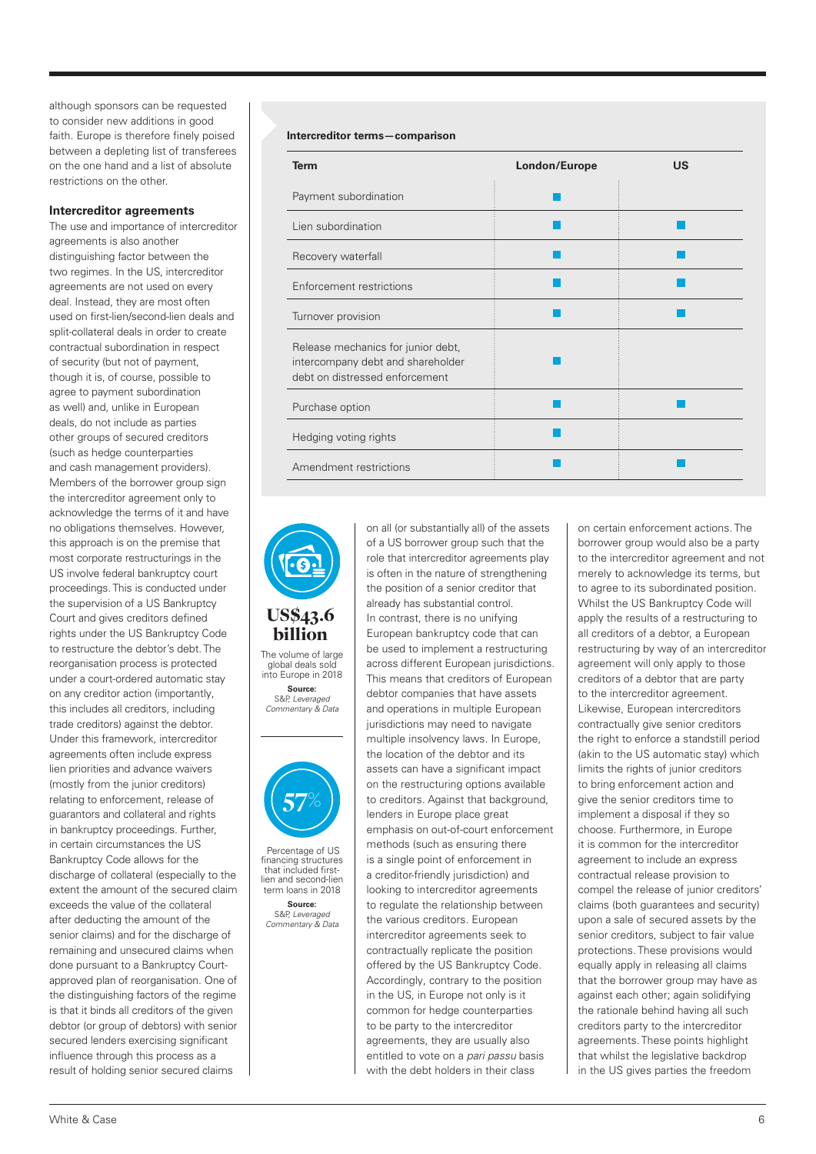although sponsors can be requested to consider new additions in good faith. Europe is therefore finely poised between a depleting list of transferees on the one hand and a list of absolute restrictions on the other.

#### **Intercreditor agreements**

The use and importance of intercreditor agreements is also another distinguishing factor between the two regimes. In the US, intercreditor agreements are not used on every deal. Instead, they are most often used on first-lien/second-lien deals and split-collateral deals in order to create contractual subordination in respect of security (but not of payment, though it is, of course, possible to agree to payment subordination as well) and, unlike in European deals, do not include as parties other groups of secured creditors (such as hedge counterparties and cash management providers). Members of the borrower group sign the intercreditor agreement only to acknowledge the terms of it and have no obligations themselves. However, this approach is on the premise that most corporate restructurings in the US involve federal bankruptcy court proceedings. This is conducted under the supervision of a US Bankruptcy Court and gives creditors defined rights under the US Bankruptcy Code to restructure the debtor's debt. The reorganisation process is protected under a court-ordered automatic stay on any creditor action (importantly, this includes all creditors, including trade creditors) against the debtor. Under this framework, intercreditor agreements often include express lien priorities and advance waivers (mostly from the junior creditors) relating to enforcement, release of guarantors and collateral and rights in bankruptcy proceedings. Further, in certain circumstances the US Bankruptcy Code allows for the discharge of collateral (especially to the extent the amount of the secured claim exceeds the value of the collateral after deducting the amount of the senior claims) and for the discharge of remaining and unsecured claims when done pursuant to a Bankruptcy Courtapproved plan of reorganisation. One of the distinguishing factors of the regime is that it binds all creditors of the given debtor (or group of debtors) with senior secured lenders exercising significant influence through this process as a result of holding senior secured claims

#### **Intercreditor terms—comparison**

| <b>Term</b>                                                                                               | London/Europe | US |
|-----------------------------------------------------------------------------------------------------------|---------------|----|
| Payment subordination                                                                                     |               |    |
| Lien subordination                                                                                        |               |    |
| Recovery waterfall                                                                                        |               |    |
| Enforcement restrictions                                                                                  |               |    |
| Turnover provision                                                                                        |               |    |
| Release mechanics for junior debt,<br>intercompany debt and shareholder<br>debt on distressed enforcement |               |    |
| Purchase option                                                                                           |               |    |
| Hedging voting rights                                                                                     |               |    |
| Amendment restrictions                                                                                    |               |    |



The volume of large global deals sold billion

into Europe in 2018 **Source:** S&P, *Leveraged Commentary & Data* 



 Percentage of US financing structures that included firstlien and second-lien term loans in 2018 **Source:** S&P, *Leveraged Commentary & Data* 

on all (or substantially all) of the assets of a US borrower group such that the role that intercreditor agreements play is often in the nature of strengthening the position of a senior creditor that already has substantial control. In contrast, there is no unifying European bankruptcy code that can be used to implement a restructuring across different European jurisdictions. This means that creditors of European debtor companies that have assets and operations in multiple European jurisdictions may need to navigate multiple insolvency laws. In Europe, the location of the debtor and its assets can have a significant impact on the restructuring options available to creditors. Against that background, lenders in Europe place great emphasis on out-of-court enforcement methods (such as ensuring there is a single point of enforcement in a creditor-friendly jurisdiction) and looking to intercreditor agreements to regulate the relationship between the various creditors. European intercreditor agreements seek to contractually replicate the position offered by the US Bankruptcy Code. Accordingly, contrary to the position in the US, in Europe not only is it common for hedge counterparties to be party to the intercreditor agreements, they are usually also entitled to vote on a *pari passu* basis with the debt holders in their class

on certain enforcement actions. The borrower group would also be a party to the intercreditor agreement and not merely to acknowledge its terms, but to agree to its subordinated position. Whilst the US Bankruptcy Code will apply the results of a restructuring to all creditors of a debtor, a European restructuring by way of an intercreditor agreement will only apply to those creditors of a debtor that are party to the intercreditor agreement. Likewise, European intercreditors contractually give senior creditors the right to enforce a standstill period (akin to the US automatic stay) which limits the rights of junior creditors to bring enforcement action and give the senior creditors time to implement a disposal if they so choose. Furthermore, in Europe it is common for the intercreditor agreement to include an express contractual release provision to compel the release of junior creditors' claims (both guarantees and security) upon a sale of secured assets by the senior creditors, subject to fair value protections. These provisions would equally apply in releasing all claims that the borrower group may have as against each other; again solidifying the rationale behind having all such creditors party to the intercreditor agreements. These points highlight that whilst the legislative backdrop in the US gives parties the freedom